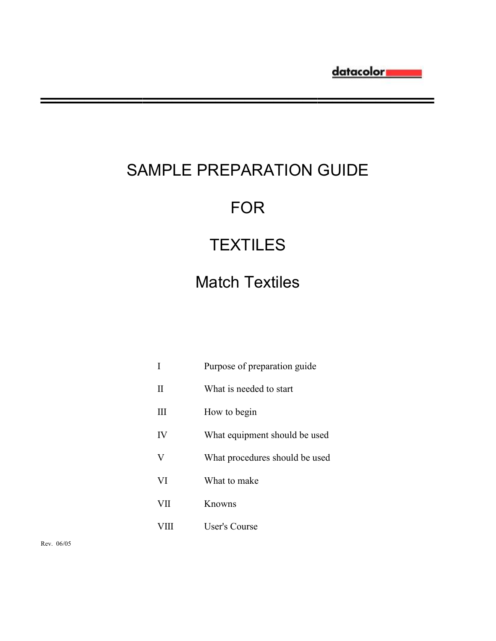# SAMPLE PREPARATION GUIDE

**═══════════════════════════**

## FOR

# **TEXTILES**

## Match Textiles

| I                         | Purpose of preparation guide   |
|---------------------------|--------------------------------|
| $\mathop{\mathrm{II}}$    | What is needed to start        |
| Ш                         | How to begin                   |
| IV                        | What equipment should be used  |
| $\boldsymbol{\mathrm{V}}$ | What procedures should be used |
| VI                        | What to make                   |
| VII                       | Knowns                         |
| VIII                      | <b>User's Course</b>           |

Rev. 06/05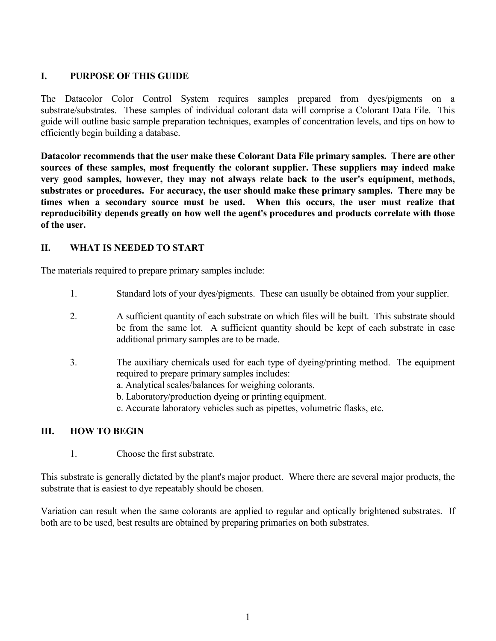## **I. PURPOSE OF THIS GUIDE**

The Datacolor Color Control System requires samples prepared from dyes/pigments on a substrate/substrates. These samples of individual colorant data will comprise a Colorant Data File. This guide will outline basic sample preparation techniques, examples of concentration levels, and tips on how to efficiently begin building a database.

**Datacolor recommends that the user make these Colorant Data File primary samples. There are other sources of these samples, most frequently the colorant supplier. These suppliers may indeed make very good samples, however, they may not always relate back to the user's equipment, methods, substrates or procedures. For accuracy, the user should make these primary samples. There may be times when a secondary source must be used. When this occurs, the user must realize that reproducibility depends greatly on how well the agent's procedures and products correlate with those of the user.** 

## **II. WHAT IS NEEDED TO START**

The materials required to prepare primary samples include:

- 1. Standard lots of your dyes/pigments. These can usually be obtained from your supplier.
- 2. A sufficient quantity of each substrate on which files will be built. This substrate should be from the same lot. A sufficient quantity should be kept of each substrate in case additional primary samples are to be made.
- 3. The auxiliary chemicals used for each type of dyeing/printing method. The equipment required to prepare primary samples includes:
	- a. Analytical scales/balances for weighing colorants.
	- b. Laboratory/production dyeing or printing equipment.
	- c. Accurate laboratory vehicles such as pipettes, volumetric flasks, etc.

#### **III. HOW TO BEGIN**

1. Choose the first substrate.

This substrate is generally dictated by the plant's major product. Where there are several major products, the substrate that is easiest to dye repeatably should be chosen.

Variation can result when the same colorants are applied to regular and optically brightened substrates. If both are to be used, best results are obtained by preparing primaries on both substrates.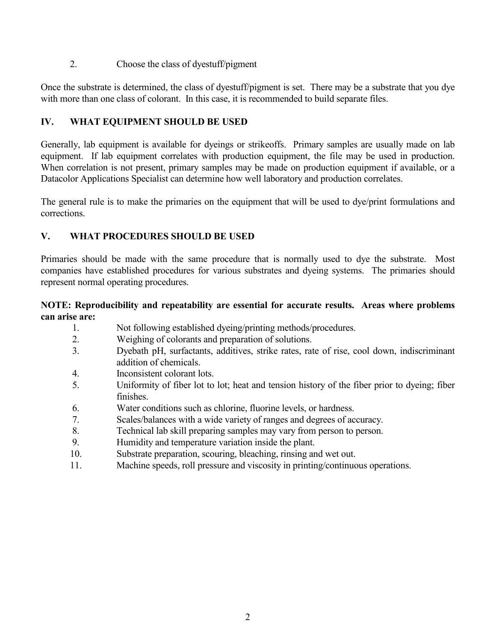2. Choose the class of dyestuff/pigment

Once the substrate is determined, the class of dyestuff/pigment is set. There may be a substrate that you dye with more than one class of colorant. In this case, it is recommended to build separate files.

## **IV. WHAT EQUIPMENT SHOULD BE USED**

Generally, lab equipment is available for dyeings or strikeoffs. Primary samples are usually made on lab equipment. If lab equipment correlates with production equipment, the file may be used in production. When correlation is not present, primary samples may be made on production equipment if available, or a Datacolor Applications Specialist can determine how well laboratory and production correlates.

The general rule is to make the primaries on the equipment that will be used to dye/print formulations and corrections.

## **V. WHAT PROCEDURES SHOULD BE USED**

Primaries should be made with the same procedure that is normally used to dye the substrate. Most companies have established procedures for various substrates and dyeing systems. The primaries should represent normal operating procedures.

#### **NOTE: Reproducibility and repeatability are essential for accurate results. Areas where problems can arise are:**

- 1. Not following established dyeing/printing methods/procedures.
- 2. Weighing of colorants and preparation of solutions.
- 3. Dyebath pH, surfactants, additives, strike rates, rate of rise, cool down, indiscriminant addition of chemicals.
- 4. Inconsistent colorant lots.
- 5. Uniformity of fiber lot to lot; heat and tension history of the fiber prior to dyeing; fiber finishes.
- 6. Water conditions such as chlorine, fluorine levels, or hardness.
- 7. Scales/balances with a wide variety of ranges and degrees of accuracy.
- 8. Technical lab skill preparing samples may vary from person to person.
- 9. Humidity and temperature variation inside the plant.
- 10. Substrate preparation, scouring, bleaching, rinsing and wet out.
- 11. Machine speeds, roll pressure and viscosity in printing/continuous operations.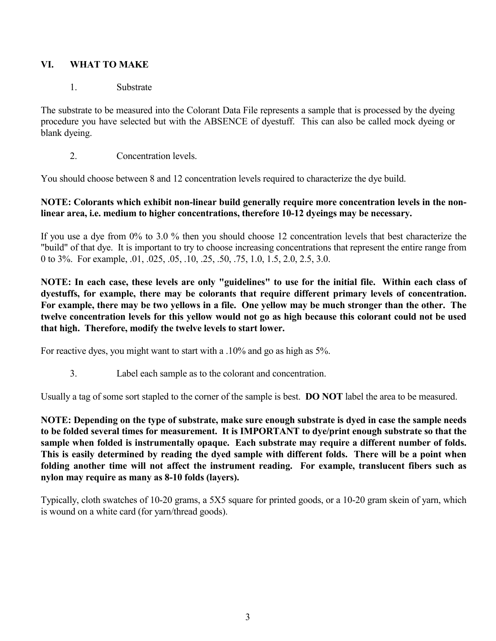## **VI. WHAT TO MAKE**

#### 1. Substrate

The substrate to be measured into the Colorant Data File represents a sample that is processed by the dyeing procedure you have selected but with the ABSENCE of dyestuff. This can also be called mock dyeing or blank dyeing.

2. Concentration levels.

You should choose between 8 and 12 concentration levels required to characterize the dye build.

## **NOTE: Colorants which exhibit non-linear build generally require more concentration levels in the nonlinear area, i.e. medium to higher concentrations, therefore 10-12 dyeings may be necessary.**

If you use a dye from 0% to 3.0 % then you should choose 12 concentration levels that best characterize the "build" of that dye. It is important to try to choose increasing concentrations that represent the entire range from 0 to 3%. For example, .01, .025, .05, .10, .25, .50, .75, 1.0, 1.5, 2.0, 2.5, 3.0.

**NOTE: In each case, these levels are only "guidelines" to use for the initial file. Within each class of dyestuffs, for example, there may be colorants that require different primary levels of concentration. For example, there may be two yellows in a file. One yellow may be much stronger than the other. The twelve concentration levels for this yellow would not go as high because this colorant could not be used that high. Therefore, modify the twelve levels to start lower.**

For reactive dyes, you might want to start with a .10% and go as high as 5%.

3. Label each sample as to the colorant and concentration.

Usually a tag of some sort stapled to the corner of the sample is best. **DO NOT** label the area to be measured.

**NOTE: Depending on the type of substrate, make sure enough substrate is dyed in case the sample needs to be folded several times for measurement. It is IMPORTANT to dye/print enough substrate so that the sample when folded is instrumentally opaque. Each substrate may require a different number of folds. This is easily determined by reading the dyed sample with different folds. There will be a point when folding another time will not affect the instrument reading. For example, translucent fibers such as nylon may require as many as 8-10 folds (layers).**

Typically, cloth swatches of 10-20 grams, a 5X5 square for printed goods, or a 10-20 gram skein of yarn, which is wound on a white card (for yarn/thread goods).